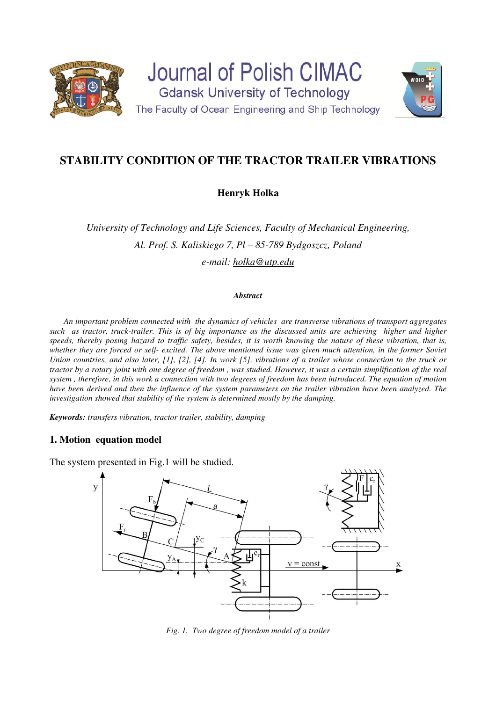

# **STABILITY CONDITION OF THE TRACTOR TRAILER VIBRATIONS**

## **Henryk Holka**

*University of Technology and Life Sciences, Faculty of Mechanical Engineering, Al. Prof. S. Kaliskiego 7, Pl – 85-789 Bydgoszcz, Poland e-mail: holka@utp.edu* 

#### *Abstract*

*An important problem connected with the dynamics of vehicles are transverse vibrations of transport aggregates*  such as tractor, truck-trailer. This is of big importance as the discussed units are achieving higher and higher *speeds, thereby posing hazard to traffic safety, besides, it is worth knowing the nature of these vibration, that is, whether they are forced or self- excited. The above mentioned issue was given much attention, in the former Soviet Union countries, and also later, [1], [2], [4]. In work [5], vibrations of a trailer whose connection to the truck or tractor by a rotary joint with one degree of freedom , was studied. However, it was a certain simplification of the real system , therefore, in this work a connection with two degrees of freedom has been introduced. The equation of motion have been derived and then the influence of the system parameters on the trailer vibration have been analyzed. The investigation showed that stability of the system is determined mostly by the damping.* 

*Keywords: transfers vibration, tractor trailer, stability, damping*

### **1. Motion equation model**

The system presented in Fig.1 will be studied.



*Fig. 1. Two degree of freedom model of a trailer*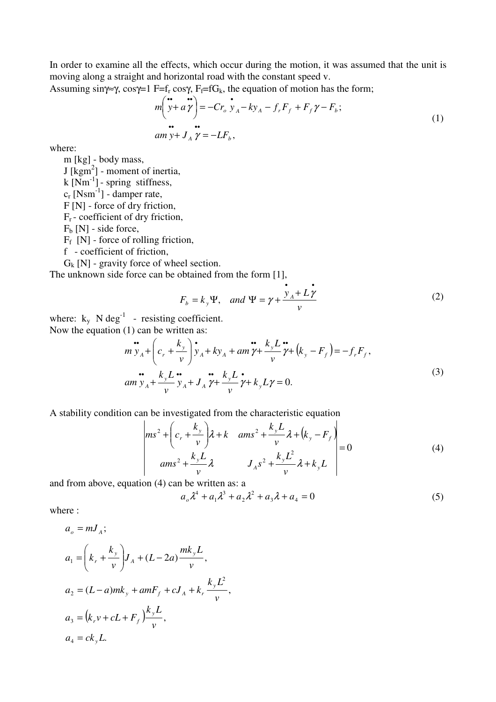In order to examine all the effects, which occur during the motion, it was assumed that the unit is moving along a straight and horizontal road with the constant speed v.

Assuming sin $\gamma \approx \gamma$ , cos $\gamma = 1$  F=f<sub>r</sub> cos $\gamma$ , F<sub>f</sub>=fG<sub>k</sub>, the equation of motion has the form;

$$
m\left(\stackrel{\bullet}{y} + a\stackrel{\bullet}{\gamma}\right) = -Cr_o \stackrel{\bullet}{y}_A - ky_A - f_r F_f + F_f \gamma - F_b; \n\bullet \qquad \bullet \qquad \bullet \qquad \bullet \qquad \bullet \qquad (1)
$$
\n
$$
am y + J_A \gamma = -LF_b,
$$

where:

m [kg] - body mass,  $J$  [kgm<sup>2</sup>] - moment of inertia, k  $[Nm^{-1}]$  - spring stiffness,  $c_r$  [Nsm<sup>-1</sup>] - damper rate, F [N] - force of dry friction,  $F_r$  - coefficient of dry friction,  $F_b$  [N] - side force,  $F_f$  [N] - force of rolling friction,

f - coefficient of friction,

 $G_k$  [N] - gravity force of wheel section.

The unknown side force can be obtained from the form [1],

$$
F_b = k_y \Psi, \quad and \quad \Psi = \gamma + \frac{\dot{y}_A + L\dot{\gamma}}{v}
$$
 (2)

where:  $k_y$  N deg<sup>-1</sup> - resisting coefficient. Now the equation (1) can be written as:

$$
\mathbf{m} \mathbf{v}_{A} + \left(c_{r} + \frac{k_{y}}{v}\right) \mathbf{v}_{A} + ky_{A} + am \mathbf{v} + \frac{k_{y}L}{v} \mathbf{v} + (k_{y} - F_{f}) = -f_{r}F_{f},
$$
\n
$$
\mathbf{m} \mathbf{v}_{A} + \frac{k_{y}L}{v} \mathbf{v}_{A} + J_{A} \mathbf{v} + \frac{k_{y}L}{v} \mathbf{v} + k_{y}L \mathbf{v} = 0.
$$
\n(3)

A stability condition can be investigated from the characteristic equation

$$
\begin{vmatrix} ms^{2} + \left(c_{r} + \frac{k_{y}}{v}\right)\lambda + k & \text{ams}^{2} + \frac{k_{y}L}{v}\lambda + (k_{y} - F_{f}) \\ \text{ams}^{2} + \frac{k_{y}L}{v}\lambda & J_{A}s^{2} + \frac{k_{y}L^{2}}{v}\lambda + k_{y}L \end{vmatrix} = 0
$$
 (4)

and from above, equation (4) can be written as: a

$$
a_{0}\lambda^{4} + a_{1}\lambda^{3} + a_{2}\lambda^{2} + a_{3}\lambda + a_{4} = 0
$$
\n(5)

where :

$$
a_o = mJ_A;
$$
  
\n
$$
a_1 = \left(k_r + \frac{k_y}{v}\right)J_A + (L - 2a)\frac{mk_yL}{v},
$$
  
\n
$$
a_2 = (L - a)mk_y + amF_f + cJ_A + k_r\frac{k_yL^2}{v},
$$
  
\n
$$
a_3 = (k_r v + cL + F_f)\frac{k_yL}{v},
$$
  
\n
$$
a_4 = ck_yL.
$$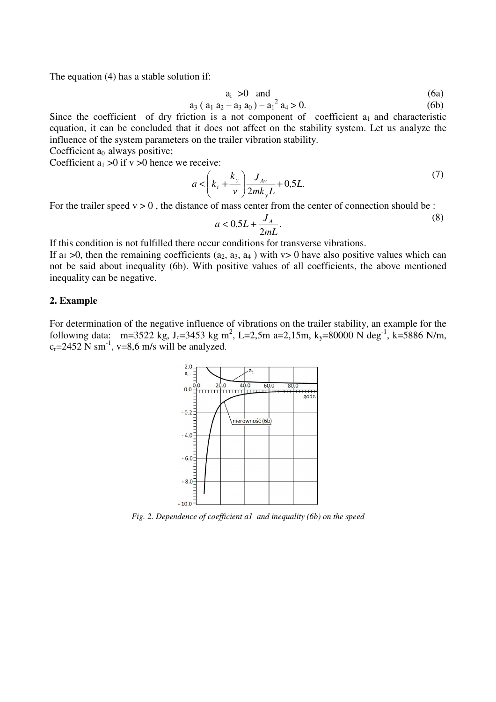The equation (4) has a stable solution if:

$$
a_i > 0 \quad \text{and} \tag{6a}
$$

$$
a_3 (a_1 a_2 - a_3 a_0) - a_1^2 a_4 > 0. \tag{6b}
$$

Since the coefficient of dry friction is a not component of coefficient  $a_1$  and characteristic equation, it can be concluded that it does not affect on the stability system. Let us analyze the influence of the system parameters on the trailer vibration stability.

Coefficient  $a_0$  always positive;

Coefficient  $a_1 > 0$  if  $v > 0$  hence we receive:

$$
a < \left(k_r + \frac{k_y}{v}\right) \frac{J_{Av}}{2mk_yL} + 0.5L.
$$
 (7)

For the trailer speed  $v > 0$ , the distance of mass center from the center of connection should be :

$$
a < 0.5L + \frac{J_A}{2mL}.\tag{8}
$$

If this condition is not fulfilled there occur conditions for transverse vibrations.

If a<sub>1</sub>  $>0$ , then the remaining coefficients (a<sub>2</sub>, a<sub>3</sub>, a<sub>4</sub>) with v $> 0$  have also positive values which can not be said about inequality (6b). With positive values of all coefficients, the above mentioned inequality can be negative.

#### **2. Example**

For determination of the negative influence of vibrations on the trailer stability, an example for the following data: m=3522 kg, J<sub>c</sub>=3453 kg m<sup>2</sup>, L=2,5m a=2,15m, k<sub>y</sub>=80000 N deg<sup>-1</sup>, k=5886 N/m,  $c_r = 2452$  N sm<sup>-1</sup>, v=8,6 m/s will be analyzed.



*Fig. 2. Dependence of coefficient a1 and inequality (6b) on the speed*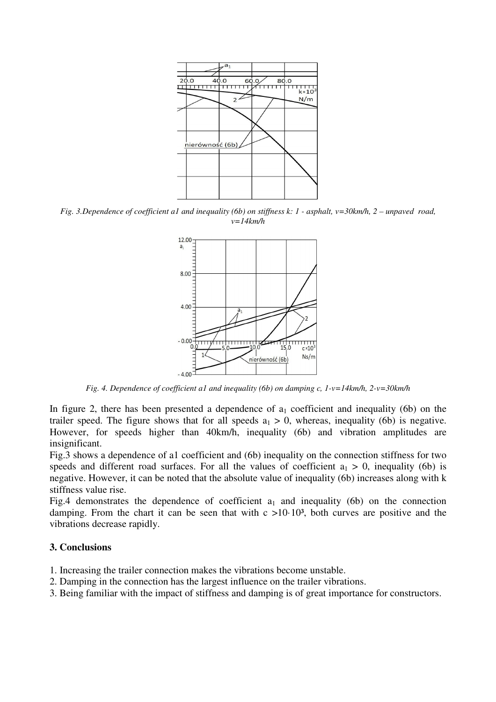

*Fig. 3.Dependence of coefficient a1 and inequality (6b) on stiffness k: 1 - asphalt, v=30km/h, 2 – unpaved road, v=14km/h* 



*Fig. 4. Dependence of coefficient a1 and inequality (6b) on damping c, 1-v=14km/h, 2-v=30km/h* 

In figure 2, there has been presented a dependence of  $a_1$  coefficient and inequality (6b) on the trailer speed. The figure shows that for all speeds  $a_1 > 0$ , whereas, inequality (6b) is negative. However, for speeds higher than 40km/h, inequality (6b) and vibration amplitudes are insignificant.

Fig.3 shows a dependence of a1 coefficient and (6b) inequality on the connection stiffness for two speeds and different road surfaces. For all the values of coefficient  $a_1 > 0$ , inequality (6b) is negative. However, it can be noted that the absolute value of inequality (6b) increases along with k stiffness value rise.

Fig.4 demonstrates the dependence of coefficient  $a_1$  and inequality (6b) on the connection damping. From the chart it can be seen that with  $c > 10 \cdot 10^3$ , both curves are positive and the vibrations decrease rapidly.

#### **3. Conclusions**

- 1. Increasing the trailer connection makes the vibrations become unstable.
- 2. Damping in the connection has the largest influence on the trailer vibrations.
- 3. Being familiar with the impact of stiffness and damping is of great importance for constructors.